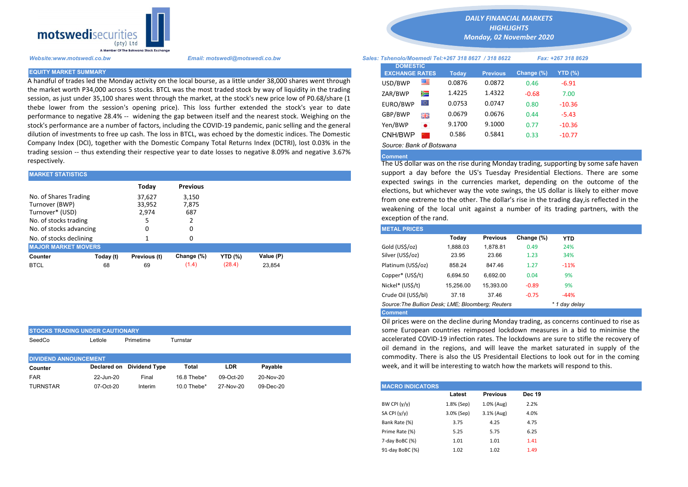

STOCKS TRADING UNDER CAUTIONARY

A handful of trades led the Monday activity on the local bourse, as a little under 38,000 shares went through the market worth P34,000 across 5 stocks. BTCL was the most traded stock by way of liquidity in the trading session, as just under 35,100 shares went through the market, at the stock's new price low of P0.68/share (1 thebe lower from the session's opening price). This loss further extended the stock's year to date performance to negative 28.4% -- widening the gap between itself and the nearest stock. Weighing on the stock's performance are a number of factors, including the COVID-19 pandemic, panic selling and the general dilution of investments to free up cash. The loss in BTCL, was echoed by the domestic indices. The Domestic Company Index (DCI), together with the Domestic Company Total Returns Index (DCTRI), lost 0.03% in the trading session -- thus extending their respective year to date losses to negative 8.09% and negative 3.67% respectively.

| <b>MARKET STATISTICS</b>                                                                                                                                                                                                                                                                                                                |           |              |                 |                | support a day before the US's Tuesday Presidential Elections. |  |                                                                                                                                     |          |                 |            |            |  |
|-----------------------------------------------------------------------------------------------------------------------------------------------------------------------------------------------------------------------------------------------------------------------------------------------------------------------------------------|-----------|--------------|-----------------|----------------|---------------------------------------------------------------|--|-------------------------------------------------------------------------------------------------------------------------------------|----------|-----------------|------------|------------|--|
|                                                                                                                                                                                                                                                                                                                                         |           | Today        | <b>Previous</b> |                |                                                               |  | expected swings in the currencies market, depending on the<br>elections, but whichever way the vote swings, the US dollar is likely |          |                 |            |            |  |
| No. of Shares Trading<br>37.627<br>3.150<br>from one extreme to the other. The dollar's rise in the trading day, is<br>Turnover (BWP)<br>33,952<br>7,875<br>weakening of the local unit against a number of its trading pa<br>Turnover* (USD)<br>687<br>2.974<br>exception of the rand.<br>No. of stocks trading<br><b>METAL PRICES</b> |           |              |                 |                |                                                               |  |                                                                                                                                     |          |                 |            |            |  |
| No. of stocks advancing                                                                                                                                                                                                                                                                                                                 |           |              |                 |                |                                                               |  |                                                                                                                                     |          |                 |            |            |  |
| No. of stocks declining                                                                                                                                                                                                                                                                                                                 |           |              |                 |                |                                                               |  |                                                                                                                                     | Today    | <b>Previous</b> | Change (%) | <b>YTD</b> |  |
| <b>MAJOR MARKET MOVERS</b>                                                                                                                                                                                                                                                                                                              |           |              |                 |                |                                                               |  | Gold (US\$/oz)                                                                                                                      | 1.888.03 | 1.878.81        | 0.49       | 24%        |  |
| Counter                                                                                                                                                                                                                                                                                                                                 | Today (t) | Previous (t) | Change (%)      | <b>YTD</b> (%) | Value (P)                                                     |  | Silver (US\$/oz)                                                                                                                    | 23.95    | 23.66           | 1.23       | 34%        |  |
| <b>BTCL</b>                                                                                                                                                                                                                                                                                                                             | 68        | 69           | (1.4)           | (28.4)         | 23.854                                                        |  | Platinum (US\$/oz)                                                                                                                  | 858.24   | 847.46          | 1.27       | $-11%$     |  |
|                                                                                                                                                                                                                                                                                                                                         |           |              |                 |                |                                                               |  |                                                                                                                                     |          |                 |            |            |  |

| דראו טווסאט באווער טווסט וויסטונטן |           |                           |             |           |           |  |
|------------------------------------|-----------|---------------------------|-------------|-----------|-----------|--|
| SeedCo                             | Letlole   | Primetime                 | Turnstar    |           |           |  |
| <b>DIVIDEND ANNOUNCEMENT</b>       |           |                           |             |           |           |  |
| Counter                            |           | Declared on Dividend Type | Total       | LDR       | Pavable   |  |
| <b>FAR</b>                         | 22-Jun-20 | Final                     | 16.8 Thebe* | 09-Oct-20 | 20-Nov-20 |  |
| <b>TURNSTAR</b>                    | 07-Oct-20 | Interim                   | 10.0 Thebe* | 27-Nov-20 | 09-Dec-20 |  |

*DAILY FINANCIAL MARKETS HIGHLIGHTS*

*Monday, 02 November 2020* 

## *Website:www.motswedi.co.bw Email: motswedi@motswedi.co.bw Sales: Tshenolo/Moemedi Tel:+267 318 8627 / 318 8622 Fax: +267 318 8629*

|                                                                                                                                                                                                             | <b>DOMESTIC</b>          |        |                 |               |           |  |
|-------------------------------------------------------------------------------------------------------------------------------------------------------------------------------------------------------------|--------------------------|--------|-----------------|---------------|-----------|--|
| EQUITY MARKET SUMMARY .                                                                                                                                                                                     | <b>EXCHANGE RATES</b>    | Today  | <b>Previous</b> | Change $(\%)$ | $YTD(\%)$ |  |
| A handful of trades led the Monday activity on the local bourse, as a little under 38,000 shares went through                                                                                               | USD/BWP                  | 0.0876 | 0.0872          | 0.46          | $-6.91$   |  |
| he market worth P34,000 across 5 stocks. BTCL was the most traded stock by way of liquidity in the trading                                                                                                  | ZAR/BWP<br>Ň             | 1.4225 | 1.4322          | $-0.68$       | 7.00      |  |
| iession, as just under 35,100 shares went through the market, at the stock's new price low of P0.68/share (1                                                                                                | EURO/BWP                 | 0.0753 | 0.0747          | 0.80          | $-10.36$  |  |
| hebe lower from the session's opening price). This loss further extended the stock's year to date<br>erformance to negative 28.4% -- widening the gap between itself and the nearest stock. Weighing on the | GBP/BWP<br>開篇            | 0.0679 | 0.0676          | 0.44          | $-5.43$   |  |
| tock's performance are a number of factors, including the COVID-19 pandemic, panic selling and the general                                                                                                  | Yen/BWP                  | 9.1700 | 9.1000          | 0.77          | $-10.36$  |  |
| dilution of investments to free up cash. The loss in BTCL, was echoed by the domestic indices. The Domestic                                                                                                 | CNH/BWP                  | 0.586  | 0.5841          | 0.33          | $-10.77$  |  |
| Company Index (DCI), together with the Domestic Company Total Returns Index (DCTRI), lost 0.03% in the                                                                                                      | Source: Bank of Botswana |        |                 |               |           |  |

## Comment

The US dollar was on the rise during Monday trading, supporting by some safe haven support a day before the US's Tuesday Presidential Elections. There are some expected swings in the currencies market, depending on the outcome of the elections, but whichever way the vote swings, the US dollar is likely to either move from one extreme to the other. The dollar's rise in the trading day,is reflected in the weakening of the local unit against a number of its trading partners, with the exception of the rand.

| <b>METAL PRICES</b>                               |           |                 |            |               |
|---------------------------------------------------|-----------|-----------------|------------|---------------|
|                                                   | Today     | <b>Previous</b> | Change (%) | <b>YTD</b>    |
| Gold (US\$/oz)                                    | 1.888.03  | 1.878.81        | 0.49       | 24%           |
| Silver (US\$/oz)                                  | 23.95     | 23.66           | 1.23       | 34%           |
| Platinum (US\$/oz)                                | 858.24    | 847.46          | 1.27       | $-11%$        |
| Copper* (US\$/t)                                  | 6.694.50  | 6.692.00        | 0.04       | 9%            |
| Nickel* (US\$/t)                                  | 15.256.00 | 15.393.00       | $-0.89$    | 9%            |
| Crude Oil (US\$/bl)                               | 37.18     | 37.46           | $-0.75$    | $-44%$        |
| Source: The Bullion Desk; LME; Bloomberg; Reuters |           |                 |            | * 1 day delay |
| <b>Comment</b>                                    |           |                 |            |               |

Oil prices were on the decline during Monday trading, as concerns continued to rise as some European countries reimposed lockdown measures in a bid to minimise the accelerated COVID-19 infection rates. The lockdowns are sure to stifle the recovery of oil demand in the regions, and will leave the market saturated in supply of the commodity. There is also the US Presidentail Elections to look out for in the coming week, and it will be interesting to watch how the markets will respond to this.

| <b>MACRO INDICATORS</b> |            |                 |               |
|-------------------------|------------|-----------------|---------------|
|                         | Latest     | <b>Previous</b> | <b>Dec 19</b> |
| BW CPI $(y/y)$          | 1.8% (Sep) | 1.0% (Aug)      | 2.2%          |
| SA CPI (y/y)            | 3.0% (Sep) | $3.1%$ (Aug)    | 4.0%          |
| Bank Rate (%)           | 3.75       | 4.25            | 4.75          |
| Prime Rate (%)          | 5.25       | 5.75            | 6.25          |
| 7-day BoBC (%)          | 1.01       | 1.01            | 1.41          |
| 91-day BoBC (%)         | 1.02       | 1.02            | 1.49          |